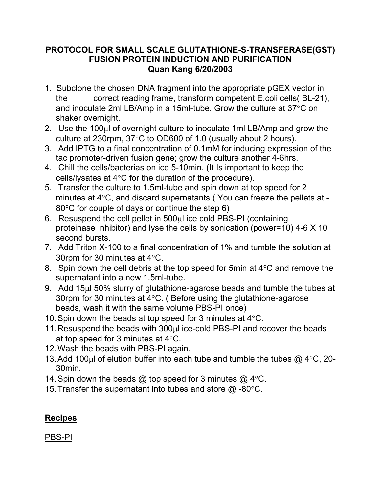## **PROTOCOL FOR SMALL SCALE GLUTATHIONE-S-TRANSFERASE(GST) FUSION PROTEIN INDUCTION AND PURIFICATION Quan Kang 6/20/2003**

- 1. Subclone the chosen DNA fragment into the appropriate pGEX vector in the correct reading frame, transform competent E.coli cells( BL-21), and inoculate 2ml LB/Amp in a 15ml-tube. Grow the culture at  $37^{\circ}$ C on shaker overnight.
- 2. Use the 100µl of overnight culture to inoculate 1ml LB/Amp and grow the culture at 230rpm,  $37^{\circ}$ C to OD600 of 1.0 (usually about 2 hours).
- 3. Add IPTG to a final concentration of 0.1mM for inducing expression of the tac promoter-driven fusion gene; grow the culture another 4-6hrs.
- 4. Chill the cells/bacterias on ice 5-10min. (It Is important to keep the cells/lysates at  $4^{\circ}$ C for the duration of the procedure).
- 5. Transfer the culture to 1.5ml-tube and spin down at top speed for 2 minutes at  $4^{\circ}$ C, and discard supernatants.(You can freeze the pellets at - $80^{\circ}$ C for couple of days or continue the step 6)
- 6. Resuspend the cell pellet in  $500<sub>µ</sub>$  ice cold PBS-PI (containing proteinase nhibitor) and lyse the cells by sonication (power=10) 4-6 X 10 second bursts.
- 7. Add Triton X-100 to a final concentration of 1% and tumble the solution at 30rpm for 30 minutes at  $4^{\circ}$ C.
- 8. Spin down the cell debris at the top speed for 5min at  $4^{\circ}$ C and remove the supernatant into a new 1.5ml-tube.
- 9. Add 15ul 50% slurry of glutathione-agarose beads and tumble the tubes at 30rpm for 30 minutes at  $4^{\circ}$ C. (Before using the glutathione-agarose beads, wash it with the same volume PBS-PI once)
- 10. Spin down the beads at top speed for 3 minutes at  $4^{\circ}$ C.
- 11. Resuspend the beads with 300ul ice-cold PBS-PI and recover the beads at top speed for 3 minutes at  $4^{\circ}$ C.
- 12.Wash the beads with PBS-PI again.
- 13. Add 100 $\mu$ l of elution buffer into each tube and tumble the tubes  $\omega$  4°C, 20-30min.
- 14. Spin down the beads  $@$  top speed for 3 minutes  $@$  4°C.
- 15. Transfer the supernatant into tubes and store  $\omega$  -80°C.

## **Recipes**

PBS-PI